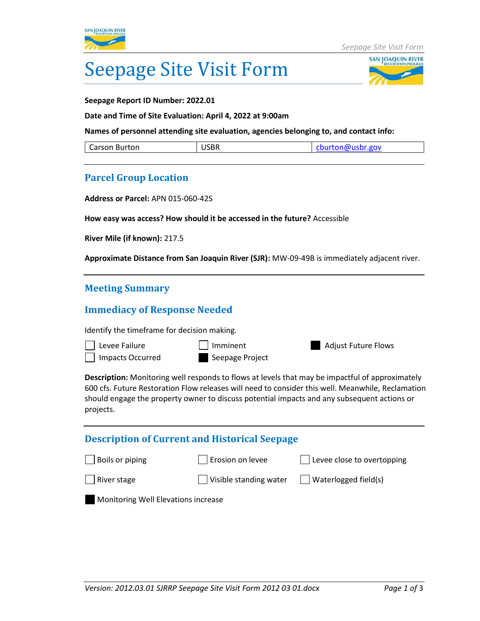



**Seepage Report ID Number: 2022.01**

**Date and Time of Site Evaluation: April 4, 2022 at 9:00am**

**Names of personnel attending site evaluation, agencies belonging to, and contact info:** 

| <b>ICDE</b><br>Carson Burton<br>USBN | cburton@usbr.gov |
|--------------------------------------|------------------|
|--------------------------------------|------------------|

## **Parcel Group Location**

**Address or Parcel:** APN 015-060-42S

**How easy was access? How should it be accessed in the future?** Accessible

**River Mile (if known):** 217.5

**Approximate Distance from San Joaquin River (SJR):** MW-09-49B is immediately adjacent river.

## **Meeting Summary**

## **Immediacy of Response Needed**

Identify the timeframe for decision making.



**Description:** Monitoring well responds to flows at levels that may be impactful of approximately 600 cfs. Future Restoration Flow releases will need to consider this well. Meanwhile, Reclamation should engage the property owner to discuss potential impacts and any subsequent actions or projects.

| <b>Description of Current and Historical Seepage</b> |                        |                                    |  |  |  |
|------------------------------------------------------|------------------------|------------------------------------|--|--|--|
| $\Box$ Boils or piping                               | Erosion on levee       | $\vert$ Levee close to overtopping |  |  |  |
| River stage                                          | Visible standing water | $\Box$ Waterlogged field(s)        |  |  |  |
| Monitoring Well Elevations increase                  |                        |                                    |  |  |  |
|                                                      |                        |                                    |  |  |  |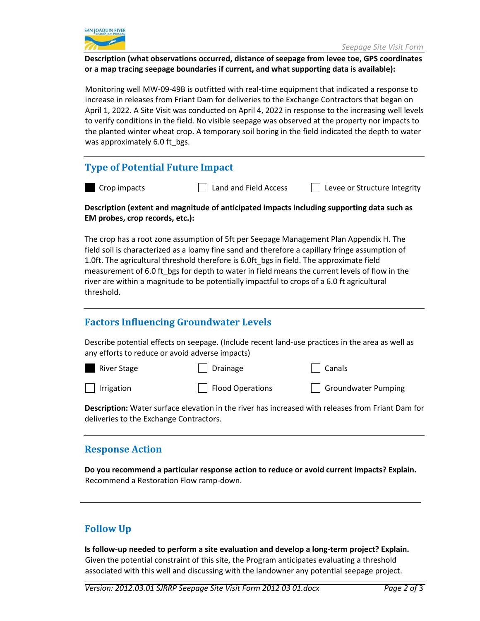

**Description (what observations occurred, distance of seepage from levee toe, GPS coordinates or a map tracing seepage boundaries if current, and what supporting data is available):**

Monitoring well MW-09-49B is outfitted with real-time equipment that indicated a response to increase in releases from Friant Dam for deliveries to the Exchange Contractors that began on April 1, 2022. A Site Visit was conducted on April 4, 2022 in response to the increasing well levels to verify conditions in the field. No visible seepage was observed at the property nor impacts to the planted winter wheat crop. A temporary soil boring in the field indicated the depth to water was approximately 6.0 ft bgs.

## **Type of Potential Future Impact**

|  | Crop impact |
|--|-------------|
|--|-------------|

 $\Box$  Land and Field Access Levee or Structure Integrity

### **Description (extent and magnitude of anticipated impacts including supporting data such as EM probes, crop records, etc.):**

The crop has a root zone assumption of 5ft per Seepage Management Plan Appendix H. The field soil is characterized as a loamy fine sand and therefore a capillary fringe assumption of 1.0ft. The agricultural threshold therefore is 6.0ft\_bgs in field. The approximate field measurement of 6.0 ft\_bgs for depth to water in field means the current levels of flow in the river are within a magnitude to be potentially impactful to crops of a 6.0 ft agricultural threshold.

## **Factors Influencing Groundwater Levels**

Describe potential effects on seepage. (Include recent land‐use practices in the area as well as any efforts to reduce or avoid adverse impacts)

| <b>River Stage</b> | Drainage                   | Canals              |
|--------------------|----------------------------|---------------------|
| Irrigation         | $\vert$   Flood Operations | Groundwater Pumping |

**Description:** Water surface elevation in the river has increased with releases from Friant Dam for deliveries to the Exchange Contractors.

## **Response Action**

**Do you recommend a particular response action to reduce or avoid current impacts? Explain.** Recommend a Restoration Flow ramp-down.

## **Follow Up**

**Is follow‐up needed to perform a site evaluation and develop a long‐term project? Explain.** Given the potential constraint of this site, the Program anticipates evaluating a threshold associated with this well and discussing with the landowner any potential seepage project.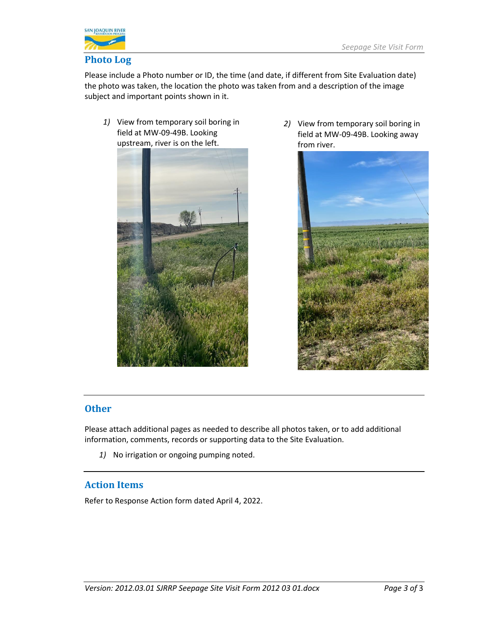

Please include a Photo number or ID, the time (and date, if different from Site Evaluation date) the photo was taken, the location the photo was taken from and a description of the image subject and important points shown in it.

*1)* View from temporary soil boring in field at MW-09-49B. Looking upstream, river is on the left.



*2)* View from temporary soil boring in field at MW-09-49B. Looking away from river.



## **Other**

Please attach additional pages as needed to describe all photos taken, or to add additional information, comments, records or supporting data to the Site Evaluation.

*1)* No irrigation or ongoing pumping noted.

## **Action Items**

Refer to Response Action form dated April 4, 2022.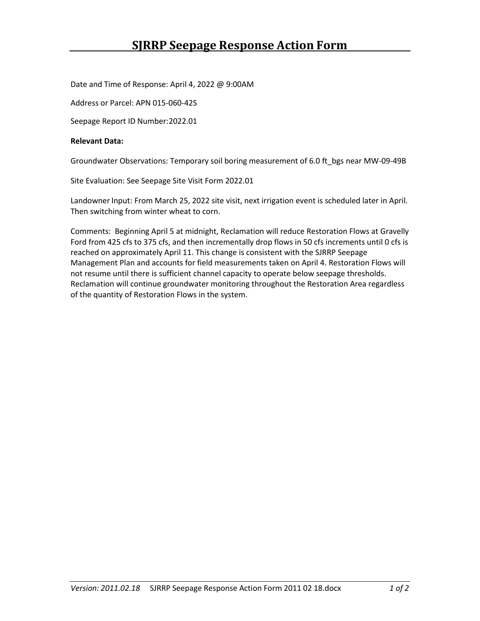Date and Time of Response: April 4, 2022 @ 9:00AM

Address or Parcel: APN 015-060-42S

Seepage Report ID Number:2022.01

### **Relevant Data:**

Groundwater Observations: Temporary soil boring measurement of 6.0 ft\_bgs near MW-09-49B

Site Evaluation: See Seepage Site Visit Form 2022.01

Landowner Input: From March 25, 2022 site visit, next irrigation event is scheduled later in April. Then switching from winter wheat to corn.

Comments: Beginning April 5 at midnight, Reclamation will reduce Restoration Flows at Gravelly Ford from 425 cfs to 375 cfs, and then incrementally drop flows in 50 cfs increments until 0 cfs is reached on approximately April 11. This change is consistent with the SJRRP Seepage Management Plan and accounts for field measurements taken on April 4. Restoration Flows will not resume until there is sufficient channel capacity to operate below seepage thresholds. Reclamation will continue groundwater monitoring throughout the Restoration Area regardless of the quantity of Restoration Flows in the system.